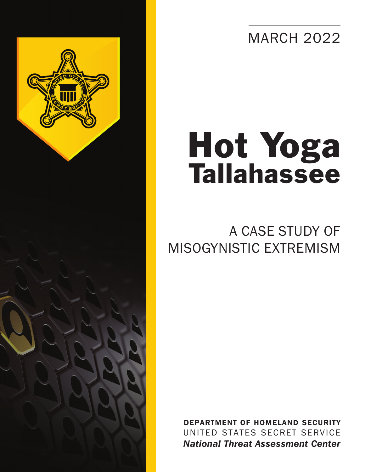MARCH 2022

# Hot Yoga Tallahassee

A CASE STUDY OF MISOGYNISTIC EXTREMISM

DEPARTMENT OF HOMELAND SECURITY UNITED STATES SECRET SERVICE *National Threat Assessment Center*

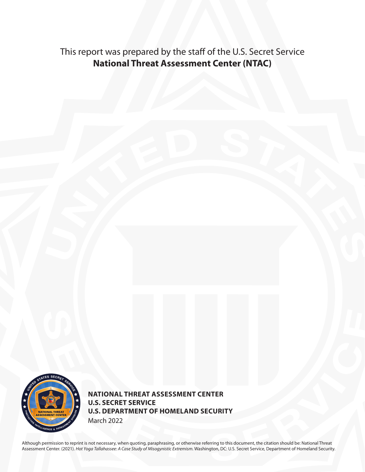This report was prepared by the staff of the U.S. Secret Service **National Threat Assessment Center (NTAC)**



**NATIONAL THREAT ASSESSMENT CENTER U.S. SECRET SERVICE U.S. DEPARTMENT OF HOMELAND SECURITY** March 2022

Although permission to reprint is not necessary, when quoting, paraphrasing, or otherwise referring to this document, the citation should be: National Threat Assessment Center. (2021). *Hot Yoga Tallahassee: A Case Study of Misogynistic Extremism.* Washington, DC: U.S. Secret Service, Department of Homeland Security.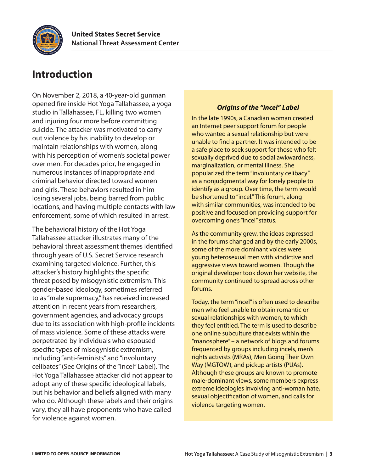

**United States Secret Service National Threat Assessment Center**

# **Introduction**

On November 2, 2018, a 40-year-old gunman opened fire inside Hot Yoga Tallahassee, a yoga studio in Tallahassee, FL, killing two women and injuring four more before committing suicide. The attacker was motivated to carry out violence by his inability to develop or maintain relationships with women, along with his perception of women's societal power over men. For decades prior, he engaged in numerous instances of inappropriate and criminal behavior directed toward women and girls. These behaviors resulted in him losing several jobs, being barred from public locations, and having multiple contacts with law enforcement, some of which resulted in arrest.

The behavioral history of the Hot Yoga Tallahassee attacker illustrates many of the behavioral threat assessment themes identified through years of U.S. Secret Service research examining targeted violence. Further, this attacker's history highlights the specific threat posed by misogynistic extremism. This gender-based ideology, sometimes referred to as "male supremacy," has received increased attention in recent years from researchers, government agencies, and advocacy groups due to its association with high-profile incidents of mass violence. Some of these attacks were perpetrated by individuals who espoused specific types of misogynistic extremism, including "anti-feminists" and "involuntary celibates" (See Origins of the "Incel" Label). The Hot Yoga Tallahassee attacker did not appear to adopt any of these specific ideological labels, but his behavior and beliefs aligned with many who do. Although these labels and their origins vary, they all have proponents who have called for violence against women.

# *Origins of the "Incel" Label*

In the late 1990s, a Canadian woman created an Internet peer support forum for people who wanted a sexual relationship but were unable to find a partner. It was intended to be a safe place to seek support for those who felt sexually deprived due to social awkwardness, marginalization, or mental illness. She popularized the term "involuntary celibacy" as a nonjudgmental way for lonely people to identify as a group. Over time, the term would be shortened to "incel." This forum, along with similar communities, was intended to be positive and focused on providing support for overcoming one's "incel" status.

As the community grew, the ideas expressed in the forums changed and by the early 2000s, some of the more dominant voices were young heterosexual men with vindictive and aggressive views toward women. Though the original developer took down her website, the community continued to spread across other forums.

Today, the term "incel" is often used to describe men who feel unable to obtain romantic or sexual relationships with women, to which they feel entitled. The term is used to describe one online subculture that exists within the "manosphere" – a network of blogs and forums frequented by groups including incels, men's rights activists (MRAs), Men Going Their Own Way (MGTOW), and pickup artists (PUAs). Although these groups are known to promote male-dominant views, some members express extreme ideologies involving anti-woman hate, sexual objectification of women, and calls for violence targeting women.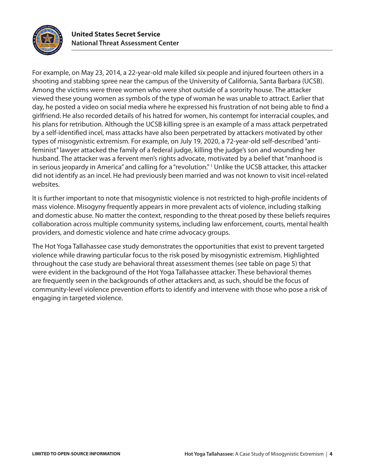

For example, on May 23, 2014, a 22-year-old male killed six people and injured fourteen others in a shooting and stabbing spree near the campus of the University of California, Santa Barbara (UCSB). Among the victims were three women who were shot outside of a sorority house. The attacker viewed these young women as symbols of the type of woman he was unable to attract. Earlier that day, he posted a video on social media where he expressed his frustration of not being able to find a girlfriend. He also recorded details of his hatred for women, his contempt for interracial couples, and his plans for retribution. Although the UCSB killing spree is an example of a mass attack perpetrated by a self-identified incel, mass attacks have also been perpetrated by attackers motivated by other types of misogynistic extremism. For example, on July 19, 2020, a 72-year-old self-described "antifeminist" lawyer attacked the family of a federal judge, killing the judge's son and wounding her husband. The attacker was a fervent men's rights advocate, motivated by a belief that "manhood is in serious jeopardy in America" and calling for a "revolution." 1 Unlike the UCSB attacker, this attacker did not identify as an incel. He had previously been married and was not known to visit incel-related websites.

It is further important to note that misogynistic violence is not restricted to high-profile incidents of mass violence. Misogyny frequently appears in more prevalent acts of violence, including stalking and domestic abuse. No matter the context, responding to the threat posed by these beliefs requires collaboration across multiple community systems, including law enforcement, courts, mental health providers, and domestic violence and hate crime advocacy groups.

The Hot Yoga Tallahassee case study demonstrates the opportunities that exist to prevent targeted violence while drawing particular focus to the risk posed by misogynistic extremism. Highlighted throughout the case study are behavioral threat assessment themes (see table on page 5) that were evident in the background of the Hot Yoga Tallahassee attacker. These behavioral themes are frequently seen in the backgrounds of other attackers and, as such, should be the focus of community-level violence prevention efforts to identify and intervene with those who pose a risk of engaging in targeted violence.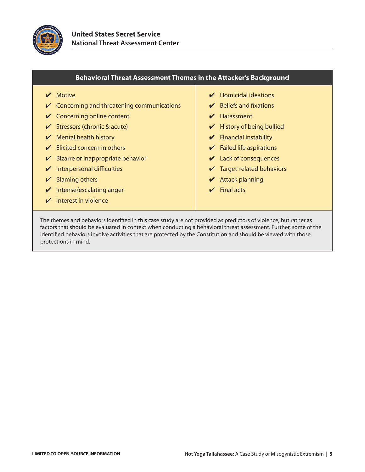

# **Behavioral Threat Assessment Themes in the Attacker's Background**

## ✔ Motive

- $\vee$  Concerning and threatening communications
- $\vee$  Concerning online content
- $\checkmark$  Stressors (chronic & acute)
- $\boldsymbol{\checkmark}$  Mental health history
- $\mathcal V$  Elicited concern in others
- $\vee$  Bizarre or inappropriate behavior
- $\boldsymbol{\nu}$  Interpersonal difficulties
- $\mathbf{\checkmark}$  Blaming others
- $\nu$  Intense/escalating anger
- $\boldsymbol{\checkmark}$  Interest in violence
- $\triangleright$  Homicidal ideations
- $\triangleright$  Beliefs and fixations
- ✔ Harassment
- $\boldsymbol{\nu}$  History of being bullied
- $\triangleright$  Financial instability
- $\triangleright$  Failed life aspirations
- $\boldsymbol{\checkmark}$  Lack of consequences
- $\boldsymbol{\nu}$  Target-related behaviors
- $\vee$  Attack planning
- $\checkmark$  Final acts

The themes and behaviors identified in this case study are not provided as predictors of violence, but rather as factors that should be evaluated in context when conducting a behavioral threat assessment. Further, some of the identified behaviors involve activities that are protected by the Constitution and should be viewed with those protections in mind.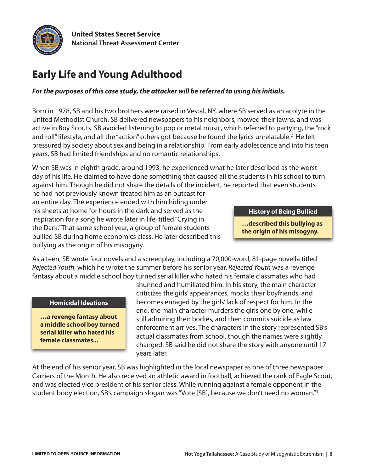

# **Early Life and Young Adulthood**

# *For the purposes of this case study, the attacker will be referred to using his initials.*

Born in 1978, SB and his two brothers were raised in Vestal, NY, where SB served as an acolyte in the United Methodist Church. SB delivered newspapers to his neighbors, mowed their lawns, and was active in Boy Scouts. SB avoided listening to pop or metal music, which referred to partying, the "rock and roll" lifestyle, and all the "action" others got because he found the lyrics unrelatable.<sup>2</sup> He felt pressured by society about sex and being in a relationship. From early adolescence and into his teen years, SB had limited friendships and no romantic relationships.

When SB was in eighth grade, around 1993, he experienced what he later described as the worst day of his life. He claimed to have done something that caused all the students in his school to turn against him. Though he did not share the details of the incident, he reported that even students

he had not previously known treated him as an outcast for an entire day. The experience ended with him hiding under his sheets at home for hours in the dark and served as the inspiration for a song he wrote later in life, titled "Crying in the Dark." That same school year, a group of female students bullied SB during home economics class. He later described this bullying as the origin of his misogyny.

## **History of Being Bullied**

**…described this bullying as the origin of his misogyny.**

As a teen, SB wrote four novels and a screenplay, including a 70,000-word, 81-page novella titled *Rejected Youth*, which he wrote the summer before his senior year. *Rejected Youth* was a revenge fantasy about a middle school boy turned serial killer who hated his female classmates who had

#### **Homicidal Ideations**

**…a revenge fantasy about a middle school boy turned serial killer who hated his female classmates...**

shunned and humiliated him. In his story, the main character criticizes the girls' appearances, mocks their boyfriends, and becomes enraged by the girls' lack of respect for him. In the end, the main character murders the girls one by one, while still admiring their bodies, and then commits suicide as law enforcement arrives. The characters in the story represented SB's actual classmates from school, though the names were slightly changed. SB said he did not share the story with anyone until 17 years later.

At the end of his senior year, SB was highlighted in the local newspaper as one of three newspaper Carriers of the Month. He also received an athletic award in football, achieved the rank of Eagle Scout, and was elected vice president of his senior class. While running against a female opponent in the student body election, SB's campaign slogan was "Vote [SB], because we don't need no woman."3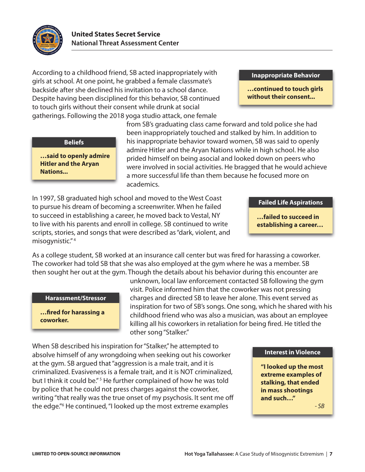

According to a childhood friend, SB acted inappropriately with girls at school. At one point, he grabbed a female classmate's backside after she declined his invitation to a school dance. Despite having been disciplined for this behavior, SB continued to touch girls without their consent while drunk at social gatherings. Following the 2018 yoga studio attack, one female

**Inappropriate Behavior**

**…continued to touch girls without their consent...**

> **…failed to succeed in establishing a career…**

**Failed Life Aspirations**

#### **Beliefs**

**…said to openly admire Hitler and the Aryan Nations...**

from SB's graduating class came forward and told police she had been inappropriately touched and stalked by him. In addition to his inappropriate behavior toward women, SB was said to openly admire Hitler and the Aryan Nations while in high school. He also prided himself on being asocial and looked down on peers who were involved in social activities. He bragged that he would achieve a more successful life than them because he focused more on academics.

In 1997, SB graduated high school and moved to the West Coast to pursue his dream of becoming a screenwriter. When he failed to succeed in establishing a career, he moved back to Vestal, NY to live with his parents and enroll in college. SB continued to write scripts, stories, and songs that were described as "dark, violent, and misogynistic." 4

As a college student, SB worked at an insurance call center but was fired for harassing a coworker. The coworker had told SB that she was also employed at the gym where he was a member. SB then sought her out at the gym. Though the details about his behavior during this encounter are

#### **Harassment/Stressor**

**…fired for harassing a coworker.**

unknown, local law enforcement contacted SB following the gym visit. Police informed him that the coworker was not pressing charges and directed SB to leave her alone. This event served as inspiration for two of SB's songs. One song, which he shared with his childhood friend who was also a musician, was about an employee killing all his coworkers in retaliation for being fired. He titled the other song "Stalker."

When SB described his inspiration for "Stalker," he attempted to absolve himself of any wrongdoing when seeking out his coworker at the gym. SB argued that "aggression is a male trait, and it is criminalized. Evasiveness is a female trait, and it is NOT criminalized, but I think it could be."<sup>5</sup> He further complained of how he was told by police that he could not press charges against the coworker, writing "that really was the true onset of my psychosis. It sent me off the edge."<sup>6</sup> He continued, "I looked up the most extreme examples

#### **Interest in Violence**

**"I looked up the most extreme examples of stalking, that ended in mass shootings and such…"** 

*- SB*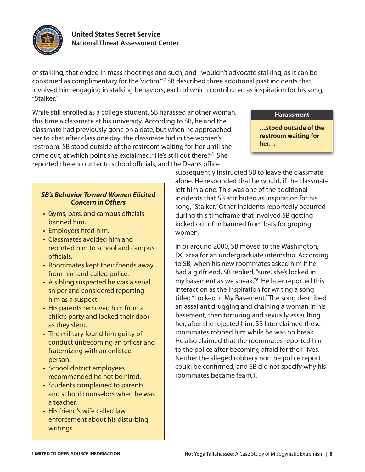

of stalking, that ended in mass shootings and such, and I wouldn't advocate stalking, as it can be construed as complimentary for the 'victim.'"7 SB described three additional past incidents that involved him engaging in stalking behaviors, each of which contributed as inspiration for his song, "Stalker."

While still enrolled as a college student, SB harassed another woman, this time a classmate at his university. According to SB, he and the classmate had previously gone on a date, but when he approached her to chat after class one day, the classmate hid in the women's restroom. SB stood outside of the restroom waiting for her until she came out, at which point she exclaimed, "He's still out there!"<sup>8</sup> She reported the encounter to school officials, and the Dean's office

## **Harassment**

**…stood outside of the restroom waiting for her…**

## *SB's Behavior Toward Women Elicited Concern in Others*

- Gyms, bars, and campus officials banned him.
- Employers fired him.
- Classmates avoided him and reported him to school and campus officials.
- Roommates kept their friends away from him and called police.
- A sibling suspected he was a serial sniper and considered reporting him as a suspect.
- His parents removed him from a child's party and locked their door as they slept.
- The military found him guilty of conduct unbecoming an officer and fraternizing with an enlisted person.
- School district employees recommended he not be hired.
- Students complained to parents and school counselors when he was a teacher.
- His friend's wife called law enforcement about his disturbing writings.

subsequently instructed SB to leave the classmate alone. He responded that he would, if the classmate left him alone. This was one of the additional incidents that SB attributed as inspiration for his song, "Stalker." Other incidents reportedly occurred during this timeframe that involved SB getting kicked out of or banned from bars for groping women.

In or around 2000, SB moved to the Washington, DC area for an undergraduate internship. According to SB, when his new roommates asked him if he had a girlfriend, SB replied, "sure, she's locked in my basement as we speak."<sup>9</sup> He later reported this interaction as the inspiration for writing a song titled "Locked in My Basement." The song described an assailant drugging and chaining a woman in his basement, then torturing and sexually assaulting her, after she rejected him. SB later claimed these roommates robbed him while he was on break. He also claimed that the roommates reported him to the police after becoming afraid for their lives. Neither the alleged robbery nor the police report could be confirmed, and SB did not specify why his roommates became fearful.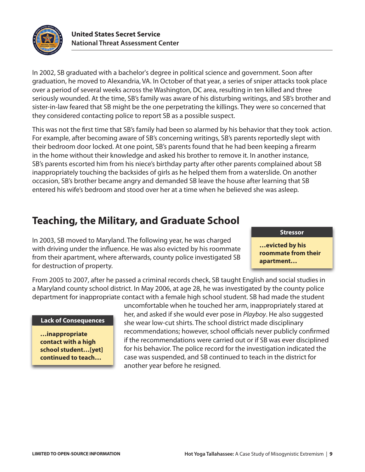

In 2002, SB graduated with a bachelor's degree in political science and government. Soon after graduation, he moved to Alexandria, VA. In October of that year, a series of sniper attacks took place over a period of several weeks across the Washington, DC area, resulting in ten killed and three seriously wounded. At the time, SB's family was aware of his disturbing writings, and SB's brother and sister-in-law feared that SB might be the one perpetrating the killings. They were so concerned that they considered contacting police to report SB as a possible suspect.

This was not the first time that SB's family had been so alarmed by his behavior that they took action. For example, after becoming aware of SB's concerning writings, SB's parents reportedly slept with their bedroom door locked. At one point, SB's parents found that he had been keeping a firearm in the home without their knowledge and asked his brother to remove it. In another instance, SB's parents escorted him from his niece's birthday party after other parents complained about SB inappropriately touching the backsides of girls as he helped them from a waterslide. On another occasion, SB's brother became angry and demanded SB leave the house after learning that SB entered his wife's bedroom and stood over her at a time when he believed she was asleep.

# **Teaching, the Military, and Graduate School**

In 2003, SB moved to Maryland. The following year, he was charged with driving under the influence. He was also evicted by his roommate from their apartment, where afterwards, county police investigated SB for destruction of property.

#### **Stressor**

**…evicted by his roommate from their apartment…**

From 2005 to 2007, after he passed a criminal records check, SB taught English and social studies in a Maryland county school district. In May 2006, at age 28, he was investigated by the county police department for inappropriate contact with a female high school student. SB had made the student

#### **Lack of Consequences**

**…inappropriate contact with a high school student…[yet] continued to teach…**

uncomfortable when he touched her arm, inappropriately stared at her, and asked if she would ever pose in *Playboy*. He also suggested she wear low-cut shirts. The school district made disciplinary recommendations; however, school officials never publicly confirmed if the recommendations were carried out or if SB was ever disciplined for his behavior. The police record for the investigation indicated the case was suspended, and SB continued to teach in the district for another year before he resigned.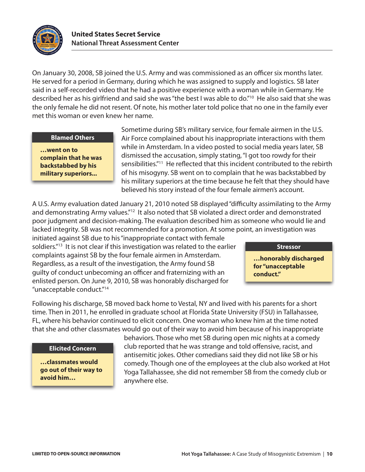

On January 30, 2008, SB joined the U.S. Army and was commissioned as an officer six months later. He served for a period in Germany, during which he was assigned to supply and logistics. SB later said in a self-recorded video that he had a positive experience with a woman while in Germany. He described her as his girlfriend and said she was "the best I was able to do."<sup>10</sup> He also said that she was the only female he did not resent. Of note, his mother later told police that no one in the family ever met this woman or even knew her name.

#### **Blamed Others**

**…went on to complain that he was backstabbed by his military superiors...**

Sometime during SB's military service, four female airmen in the U.S. Air Force complained about his inappropriate interactions with them while in Amsterdam. In a video posted to social media years later, SB dismissed the accusation, simply stating, "I got too rowdy for their sensibilities.<sup>"11</sup> He reflected that this incident contributed to the rebirth of his misogyny. SB went on to complain that he was backstabbed by his military superiors at the time because he felt that they should have believed his story instead of the four female airmen's account.

A U.S. Army evaluation dated January 21, 2010 noted SB displayed "difficulty assimilating to the Army and demonstrating Army values."<sup>12</sup> It also noted that SB violated a direct order and demonstrated poor judgment and decision-making. The evaluation described him as someone who would lie and lacked integrity. SB was not recommended for a promotion. At some point, an investigation was

initiated against SB due to his "inappropriate contact with female soldiers."13 It is not clear if this investigation was related to the earlier complaints against SB by the four female airmen in Amsterdam. Regardless, as a result of the investigation, the Army found SB guilty of conduct unbecoming an officer and fraternizing with an enlisted person. On June 9, 2010, SB was honorably discharged for "unacceptable conduct."14

#### **Stressor**

**…honorably discharged for "unacceptable conduct."**

Following his discharge, SB moved back home to Vestal, NY and lived with his parents for a short time. Then in 2011, he enrolled in graduate school at Florida State University (FSU) in Tallahassee, FL, where his behavior continued to elicit concern. One woman who knew him at the time noted that she and other classmates would go out of their way to avoid him because of his inappropriate

# **Elicited Concern**

**…classmates would go out of their way to avoid him…**

behaviors. Those who met SB during open mic nights at a comedy club reported that he was strange and told offensive, racist, and antisemitic jokes. Other comedians said they did not like SB or his comedy. Though one of the employees at the club also worked at Hot Yoga Tallahassee, she did not remember SB from the comedy club or anywhere else.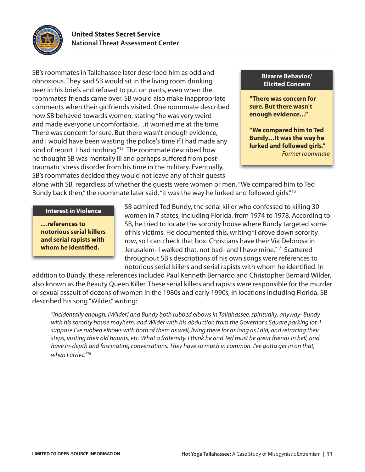

SB's roommates in Tallahassee later described him as odd and obnoxious. They said SB would sit in the living room drinking beer in his briefs and refused to put on pants, even when the roommates' friends came over. SB would also make inappropriate comments when their girlfriends visited. One roommate described how SB behaved towards women, stating "he was very weird and made everyone uncomfortable…it worried me at the time. There was concern for sure. But there wasn't enough evidence, and I would have been wasting the police's time if I had made any kind of report. I had nothing."<sup>15</sup> The roommate described how he thought SB was mentally ill and perhaps suffered from posttraumatic stress disorder from his time in the military. Eventually, SB's roommates decided they would not leave any of their guests

#### **Bizarre Behavior/ Elicited Concern**

**"There was concern for sure. But there wasn't enough evidence…"** 

**"We compared him to Ted Bundy…It was the way he lurked and followed girls."** *- Former roommate*

alone with SB, regardless of whether the guests were women or men. "We compared him to Ted Bundy back then," the roommate later said, "it was the way he lurked and followed girls."16

#### **Interest in Violence**

**…references to notorious serial killers and serial rapists with whom he identified.**

SB admired Ted Bundy, the serial killer who confessed to killing 30 women in 7 states, including Florida, from 1974 to 1978. According to SB, he tried to locate the sorority house where Bundy targeted some of his victims. He documented this, writing "I drove down sorority row, so I can check that box. Christians have their Via Delorosa in Jerusalem- I walked that, not bad- and I have mine."17 Scattered throughout SB's descriptions of his own songs were references to notorious serial killers and serial rapists with whom he identified. In

addition to Bundy, these references included Paul Kenneth Bernardo and Christopher Bernard Wilder, also known as the Beauty Queen Killer. These serial killers and rapists were responsible for the murder or sexual assault of dozens of women in the 1980s and early 1990s, in locations including Florida. SB described his song "Wilder," writing:

*"Incidentally enough, [Wilder] and Bundy both rubbed elbows in Tallahassee, spiritually, anyway- Bundy with his sorority house mayhem, and Wilder with his abduction from the Governor's Square parking lot. I suppose I've rubbed elbows with both of them as well, living there for as long as I did, and retracing their steps, visiting their old haunts, etc. What a fraternity. I think he and Ted must be great friends in hell, and have in-depth and fascinating conversations. They have so much in common. I've gotta get in on that, when I arrive."18*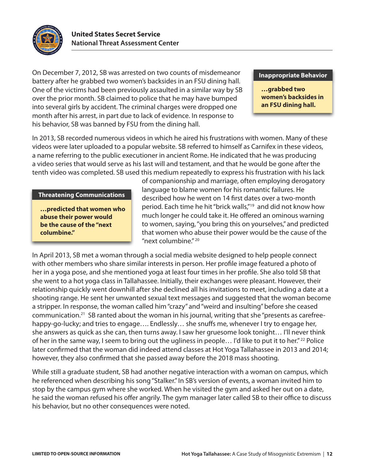

On December 7, 2012, SB was arrested on two counts of misdemeanor battery after he grabbed two women's backsides in an FSU dining hall. One of the victims had been previously assaulted in a similar way by SB over the prior month. SB claimed to police that he may have bumped into several girls by accident. The criminal charges were dropped one month after his arrest, in part due to lack of evidence. In response to his behavior, SB was banned by FSU from the dining hall.

#### **Inappropriate Behavior**

**…grabbed two women's backsides in an FSU dining hall.**

In 2013, SB recorded numerous videos in which he aired his frustrations with women. Many of these videos were later uploaded to a popular website. SB referred to himself as Carnifex in these videos, a name referring to the public executioner in ancient Rome. He indicated that he was producing a video series that would serve as his last will and testament, and that he would be gone after the tenth video was completed. SB used this medium repeatedly to express his frustration with his lack

#### **Threatening Communications**

**…predicted that women who abuse their power would be the cause of the "next columbine."**

of companionship and marriage, often employing derogatory language to blame women for his romantic failures. He described how he went on 14 first dates over a two-month period. Each time he hit "brick walls,"19 and did not know how much longer he could take it. He offered an ominous warning to women, saying, "you bring this on yourselves," and predicted that women who abuse their power would be the cause of the "next columbine." 20

In April 2013, SB met a woman through a social media website designed to help people connect with other members who share similar interests in person. Her profile image featured a photo of her in a yoga pose, and she mentioned yoga at least four times in her profile. She also told SB that she went to a hot yoga class in Tallahassee. Initially, their exchanges were pleasant. However, their relationship quickly went downhill after she declined all his invitations to meet, including a date at a shooting range. He sent her unwanted sexual text messages and suggested that the woman become a stripper. In response, the woman called him "crazy" and "weird and insulting" before she ceased communication.21 SB ranted about the woman in his journal, writing that she "presents as carefreehappy-go-lucky; and tries to engage.... Endlessly... she snuffs me, whenever I try to engage her, she answers as quick as she can, then turns away. I saw her gruesome look tonight… I'll never think of her in the same way, I seem to bring out the ugliness in people... I'd like to put it to her."<sup>22</sup> Police later confirmed that the woman did indeed attend classes at Hot Yoga Tallahassee in 2013 and 2014; however, they also confirmed that she passed away before the 2018 mass shooting.

While still a graduate student, SB had another negative interaction with a woman on campus, which he referenced when describing his song "Stalker." In SB's version of events, a woman invited him to stop by the campus gym where she worked. When he visited the gym and asked her out on a date, he said the woman refused his offer angrily. The gym manager later called SB to their office to discuss his behavior, but no other consequences were noted.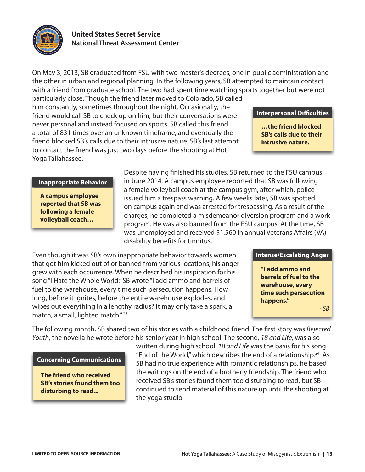

On May 3, 2013, SB graduated from FSU with two master's degrees, one in public administration and the other in urban and regional planning. In the following years, SB attempted to maintain contact with a friend from graduate school. The two had spent time watching sports together but were not

particularly close. Though the friend later moved to Colorado, SB called him constantly, sometimes throughout the night. Occasionally, the friend would call SB to check up on him, but their conversations were never personal and instead focused on sports. SB called this friend a total of 831 times over an unknown timeframe, and eventually the friend blocked SB's calls due to their intrusive nature. SB's last attempt to contact the friend was just two days before the shooting at Hot Yoga Tallahassee.

# **Interpersonal Difficulties**

**…the friend blocked SB's calls due to their intrusive nature.**

#### **Inappropriate Behavior**

**A campus employee reported that SB was following a female volleyball coach…** 

Despite having finished his studies, SB returned to the FSU campus in June 2014. A campus employee reported that SB was following a female volleyball coach at the campus gym, after which, police issued him a trespass warning. A few weeks later, SB was spotted on campus again and was arrested for trespassing. As a result of the charges, he completed a misdemeanor diversion program and a work program. He was also banned from the FSU campus. At the time, SB was unemployed and received \$1,560 in annual Veterans Affairs (VA) disability benefits for tinnitus.

Even though it was SB's own inappropriate behavior towards women that got him kicked out of or banned from various locations, his anger grew with each occurrence. When he described his inspiration for his song "I Hate the Whole World," SB wrote "I add ammo and barrels of fuel to the warehouse, every time such persecution happens. How long, before it ignites, before the entire warehouse explodes, and wipes out everything in a lengthy radius? It may only take a spark, a match, a small, lighted match." 23

## **Intense/Escalating Anger**

**"I add ammo and barrels of fuel to the warehouse, every time such persecution happens."**

*- SB*

The following month, SB shared two of his stories with a childhood friend. The first story was *Rejected Youth*, the novella he wrote before his senior year in high school. The second, *18 and Life*, was also

#### **Concerning Communications**

**The friend who received SB's stories found them too disturbing to read...**

written during high school. *18 and Life* was the basis for his song "End of the World," which describes the end of a relationship.24 As SB had no true experience with romantic relationships, he based the writings on the end of a brotherly friendship. The friend who received SB's stories found them too disturbing to read, but SB continued to send material of this nature up until the shooting at the yoga studio.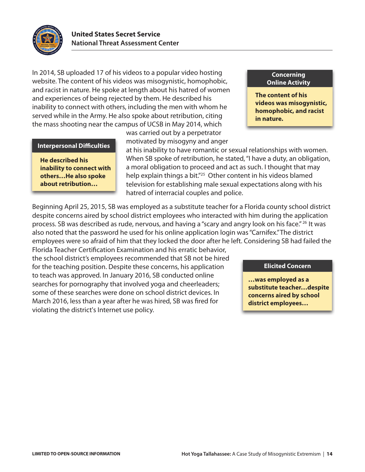

In 2014, SB uploaded 17 of his videos to a popular video hosting website. The content of his videos was misogynistic, homophobic, and racist in nature. He spoke at length about his hatred of women and experiences of being rejected by them. He described his inability to connect with others, including the men with whom he served while in the Army. He also spoke about retribution, citing the mass shooting near the campus of UCSB in May 2014, which

was carried out by a perpetrator motivated by misogyny and anger

#### **Concerning Online Activity**

**The content of his videos was misogynistic, homophobic, and racist in nature.** 

# **Interpersonal Difficulties**

**He described his inability to connect with others…He also spoke about retribution…** 

at his inability to have romantic or sexual relationships with women. When SB spoke of retribution, he stated, "I have a duty, an obligation, a moral obligation to proceed and act as such. I thought that may help explain things a bit."<sup>25</sup> Other content in his videos blamed television for establishing male sexual expectations along with his hatred of interracial couples and police.

Beginning April 25, 2015, SB was employed as a substitute teacher for a Florida county school district despite concerns aired by school district employees who interacted with him during the application process. SB was described as rude, nervous, and having a "scary and angry look on his face." 26 It was also noted that the password he used for his online application login was "Carnifex." The district employees were so afraid of him that they locked the door after he left. Considering SB had failed the

Florida Teacher Certification Examination and his erratic behavior, the school district's employees recommended that SB not be hired for the teaching position. Despite these concerns, his application to teach was approved. In January 2016, SB conducted online searches for pornography that involved yoga and cheerleaders; some of these searches were done on school district devices. In March 2016, less than a year after he was hired, SB was fired for violating the district's Internet use policy.

#### **Elicited Concern**

**…was employed as a substitute teacher…despite concerns aired by school district employees…**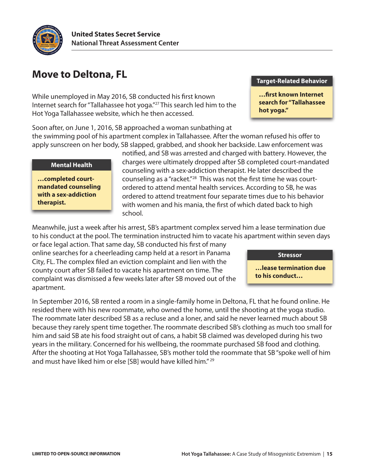

# **Move to Deltona, FL**

While unemployed in May 2016, SB conducted his first known Internet search for "Tallahassee hot yoga."27 This search led him to the Hot Yoga Tallahassee website, which he then accessed.

Soon after, on June 1, 2016, SB approached a woman sunbathing at the swimming pool of his apartment complex in Tallahassee. After the woman refused his offer to apply sunscreen on her body, SB slapped, grabbed, and shook her backside. Law enforcement was

## **Mental Health**

**…completed courtmandated counseling with a sex-addiction therapist.**

notified, and SB was arrested and charged with battery. However, the charges were ultimately dropped after SB completed court-mandated counseling with a sex-addiction therapist. He later described the counseling as a "racket."28 This was not the first time he was courtordered to attend mental health services. According to SB, he was ordered to attend treatment four separate times due to his behavior with women and his mania, the first of which dated back to high school.

Meanwhile, just a week after his arrest, SB's apartment complex served him a lease termination due to his conduct at the pool. The termination instructed him to vacate his apartment within seven days

or face legal action. That same day, SB conducted his first of many online searches for a cheerleading camp held at a resort in Panama City, FL. The complex filed an eviction complaint and lien with the county court after SB failed to vacate his apartment on time. The complaint was dismissed a few weeks later after SB moved out of the apartment.

In September 2016, SB rented a room in a single-family home in Deltona, FL that he found online. He resided there with his new roommate, who owned the home, until the shooting at the yoga studio. The roommate later described SB as a recluse and a loner, and said he never learned much about SB because they rarely spent time together. The roommate described SB's clothing as much too small for him and said SB ate his food straight out of cans, a habit SB claimed was developed during his two years in the military. Concerned for his wellbeing, the roommate purchased SB food and clothing. After the shooting at Hot Yoga Tallahassee, SB's mother told the roommate that SB "spoke well of him and must have liked him or else [SB] would have killed him."<sup>29</sup>

#### **Target-Related Behavior**

**…first known Internet search for "Tallahassee hot yoga."**

**…lease termination due** 

**Stressor**

**to his conduct…**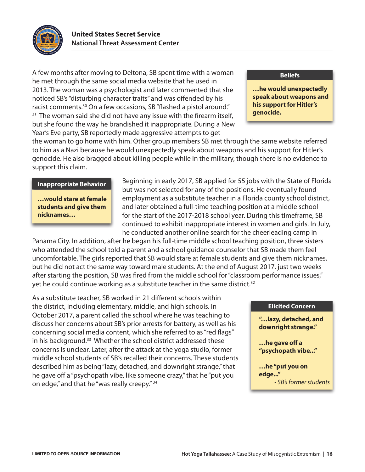

A few months after moving to Deltona, SB spent time with a woman he met through the same social media website that he used in 2013. The woman was a psychologist and later commented that she noticed SB's "disturbing character traits" and was offended by his racist comments.<sup>30</sup> On a few occasions, SB "flashed a pistol around."  $31$  The woman said she did not have any issue with the firearm itself, but she found the way he brandished it inappropriate. During a New Year's Eve party, SB reportedly made aggressive attempts to get

#### **Beliefs**

**…he would unexpectedly speak about weapons and his support for Hitler's genocide.**

the woman to go home with him. Other group members SB met through the same website referred to him as a Nazi because he would unexpectedly speak about weapons and his support for Hitler's genocide. He also bragged about killing people while in the military, though there is no evidence to support this claim.

#### **Inappropriate Behavior**

**…would stare at female students and give them nicknames…** 

Beginning in early 2017, SB applied for 55 jobs with the State of Florida but was not selected for any of the positions. He eventually found employment as a substitute teacher in a Florida county school district, and later obtained a full-time teaching position at a middle school for the start of the 2017-2018 school year. During this timeframe, SB continued to exhibit inappropriate interest in women and girls. In July, he conducted another online search for the cheerleading camp in

Panama City. In addition, after he began his full-time middle school teaching position, three sisters who attended the school told a parent and a school guidance counselor that SB made them feel uncomfortable. The girls reported that SB would stare at female students and give them nicknames, but he did not act the same way toward male students. At the end of August 2017, just two weeks after starting the position, SB was fired from the middle school for "classroom performance issues," yet he could continue working as a substitute teacher in the same district. $32$ 

As a substitute teacher, SB worked in 21 different schools within the district, including elementary, middle, and high schools. In October 2017, a parent called the school where he was teaching to discuss her concerns about SB's prior arrests for battery, as well as his concerning social media content, which she referred to as "red flags" in his background.<sup>33</sup> Whether the school district addressed these concerns is unclear. Later, after the attack at the yoga studio, former middle school students of SB's recalled their concerns. These students described him as being "lazy, detached, and downright strange," that he gave off a "psychopath vibe, like someone crazy," that he "put you on edge," and that he "was really creepy." 34

#### **Elicited Concern**

**"…lazy, detached, and downright strange."**

**…he gave off a "psychopath vibe..."**

**…he "put you on edge..."**  *- SB's former students*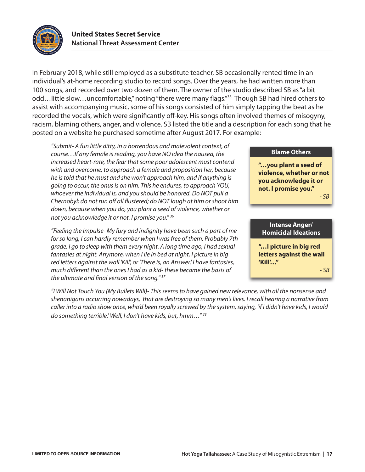

In February 2018, while still employed as a substitute teacher, SB occasionally rented time in an individual's at-home recording studio to record songs. Over the years, he had written more than 100 songs, and recorded over two dozen of them. The owner of the studio described SB as "a bit odd...little slow...uncomfortable," noting "there were many flags."<sup>35</sup> Though SB had hired others to assist with accompanying music, some of his songs consisted of him simply tapping the beat as he recorded the vocals, which were significantly off-key. His songs often involved themes of misogyny, racism, blaming others, anger, and violence. SB listed the title and a description for each song that he posted on a website he purchased sometime after August 2017. For example:

*"Submit- A fun little ditty, in a horrendous and malevolent context, of course…If any female is reading, you have NO idea the nausea, the increased heart-rate, the fear that some poor adolescent must contend with and overcome, to approach a female and proposition her, because he is told that he must and she won't approach him, and if anything is going to occur, the onus is on him. This he endures, to approach YOU, whoever the individual is, and you should be honored. Do NOT pull a Chernobyl; do not run off all flustered; do NOT laugh at him or shoot him down, because when you do, you plant a seed of violence, whether or not you acknowledge it or not. I promise you." 36*

*"Feeling the Impulse- My fury and indignity have been such a part of me for so long, I can hardly remember when I was free of them. Probably 7th grade. I go to sleep with them every night. A long time ago, I had sexual*  fantasies at night. Anymore, when I lie in bed at night, I picture in big *red letters against the wall 'Kill', or 'There is, an Answer.' I have fantasies, much different than the ones I had as a kid- these became the basis of the ultimate and final version of the song." 37*

*"I Will Not Touch You (My Bullets Will)- This seems to have gained new relevance, with all the nonsense and shenanigans occurring nowadays, that are destroying so many men's lives. I recall hearing a narrative from caller into a radio show once, who'd been royally screwed by the system, saying, 'if I didn't have kids, I would do something terrible.' Well, I don't have kids, but, hmm…" 38*

| <b>Blame Others</b>                                                                                       |
|-----------------------------------------------------------------------------------------------------------|
| "you plant a seed of<br>violence, whether or not<br>you acknowledge it or<br>not. I promise you."<br>- SB |
| Intense Anger/                                                                                            |
| <b>Homicidal Ideations</b>                                                                                |
| " picture in big red<br>letters against the wall<br>'Kill'"                                               |
| - SE                                                                                                      |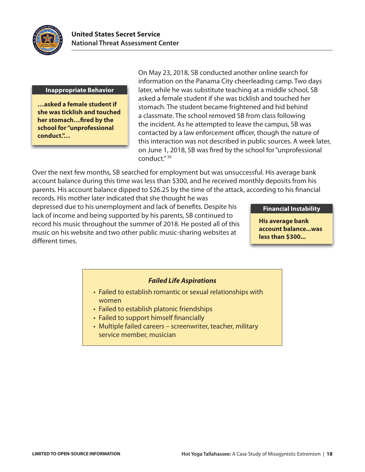

#### **Inappropriate Behavior**

**…asked a female student if she was ticklish and touched her stomach…fired by the school for "unprofessional conduct."…**

On May 23, 2018, SB conducted another online search for information on the Panama City cheerleading camp. Two days later, while he was substitute teaching at a middle school, SB asked a female student if she was ticklish and touched her stomach. The student became frightened and hid behind a classmate. The school removed SB from class following the incident. As he attempted to leave the campus, SB was contacted by a law enforcement officer, though the nature of this interaction was not described in public sources. A week later, on June 1, 2018, SB was fired by the school for "unprofessional conduct." 39

Over the next few months, SB searched for employment but was unsuccessful. His average bank account balance during this time was less than \$300, and he received monthly deposits from his parents. His account balance dipped to \$26.25 by the time of the attack, according to his financial

records. His mother later indicated that she thought he was depressed due to his unemployment and lack of benefits. Despite his lack of income and being supported by his parents, SB continued to record his music throughout the summer of 2018. He posted all of this music on his website and two other public music-sharing websites at different times.

#### **Financial Instability**

**His average bank account balance...was less than \$300...**

# *Failed Life Aspirations*

- Failed to establish romantic or sexual relationships with women
- Failed to establish platonic friendships
- Failed to support himself financially
- Multiple failed careers screenwriter, teacher, military service member, musician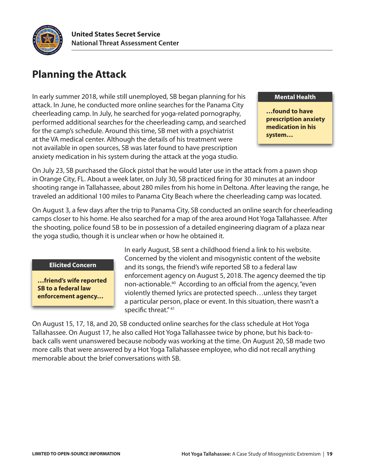

# **Planning the Attack**

In early summer 2018, while still unemployed, SB began planning for his attack. In June, he conducted more online searches for the Panama City cheerleading camp. In July, he searched for yoga-related pornography, performed additional searches for the cheerleading camp, and searched for the camp's schedule. Around this time, SB met with a psychiatrist at the VA medical center. Although the details of his treatment were not available in open sources, SB was later found to have prescription anxiety medication in his system during the attack at the yoga studio.

## **Mental Health**

**…found to have prescription anxiety medication in his system…**

On July 23, SB purchased the Glock pistol that he would later use in the attack from a pawn shop in Orange City, FL. About a week later, on July 30, SB practiced firing for 30 minutes at an indoor shooting range in Tallahassee, about 280 miles from his home in Deltona. After leaving the range, he traveled an additional 100 miles to Panama City Beach where the cheerleading camp was located.

On August 3, a few days after the trip to Panama City, SB conducted an online search for cheerleading camps closer to his home. He also searched for a map of the area around Hot Yoga Tallahassee. After the shooting, police found SB to be in possession of a detailed engineering diagram of a plaza near the yoga studio, though it is unclear when or how he obtained it.

# **Elicited Concern**

**…friend's wife reported SB to a federal law enforcement agency…**

In early August, SB sent a childhood friend a link to his website. Concerned by the violent and misogynistic content of the website and its songs, the friend's wife reported SB to a federal law enforcement agency on August 5, 2018. The agency deemed the tip non-actionable.40 According to an official from the agency, "even violently themed lyrics are protected speech…unless they target a particular person, place or event. In this situation, there wasn't a specific threat." 41

On August 15, 17, 18, and 20, SB conducted online searches for the class schedule at Hot Yoga Tallahassee. On August 17, he also called Hot Yoga Tallahassee twice by phone, but his back-toback calls went unanswered because nobody was working at the time. On August 20, SB made two more calls that were answered by a Hot Yoga Tallahassee employee, who did not recall anything memorable about the brief conversations with SB.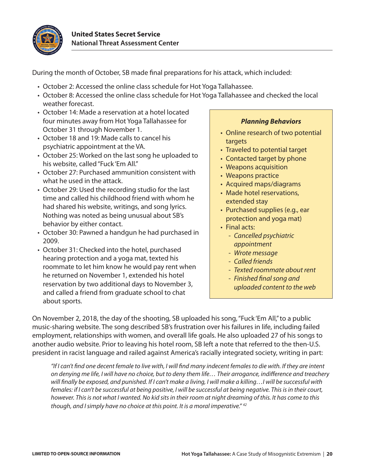

During the month of October, SB made final preparations for his attack, which included:

- October 2: Accessed the online class schedule for Hot Yoga Tallahassee.
- October 8: Accessed the online class schedule for Hot Yoga Tallahassee and checked the local weather forecast.
- October 14: Made a reservation at a hotel located four minutes away from Hot Yoga Tallahassee for October 31 through November 1.
- October 18 and 19: Made calls to cancel his psychiatric appointment at the VA.
- October 25: Worked on the last song he uploaded to his website, called "Fuck 'Em All."
- October 27: Purchased ammunition consistent with what he used in the attack.
- October 29: Used the recording studio for the last time and called his childhood friend with whom he had shared his website, writings, and song lyrics. Nothing was noted as being unusual about SB's behavior by either contact.
- October 30: Pawned a handgun he had purchased in 2009.
- October 31: Checked into the hotel, purchased hearing protection and a yoga mat, texted his roommate to let him know he would pay rent when he returned on November 1, extended his hotel reservation by two additional days to November 3, and called a friend from graduate school to chat about sports.

# *Planning Behaviors*

- Online research of two potential targets
- Traveled to potential target
- Contacted target by phone
- Weapons acquisition
- Weapons practice
- Acquired maps/diagrams
- Made hotel reservations, extended stay
- Purchased supplies (e.g., ear protection and yoga mat)
- Final acts:
	- *Cancelled psychiatric appointment*
	- *Wrote message*
	- *Called friends*
	- *Texted roommate about rent*
	- *Finished final song and uploaded content to the web*

On November 2, 2018, the day of the shooting, SB uploaded his song, "Fuck 'Em All," to a public music-sharing website. The song described SB's frustration over his failures in life, including failed employment, relationships with women, and overall life goals. He also uploaded 27 of his songs to another audio website. Prior to leaving his hotel room, SB left a note that referred to the then-U.S. president in racist language and railed against America's racially integrated society, writing in part:

*"If I can't find one decent female to live with, I will find many indecent females to die with. If they are intent on denying me life, I will have no choice, but to deny them life… Their arrogance, indifference and treachery*  will finally be exposed, and punished. If I can't make a living, I will make a killing...I will be successful with *females: if I can't be successful at being positive, I will be successful at being negative. This is in their court, however. This is not what I wanted. No kid sits in their room at night dreaming of this. It has come to this though, and I simply have no choice at this point. It is a moral imperative." 42*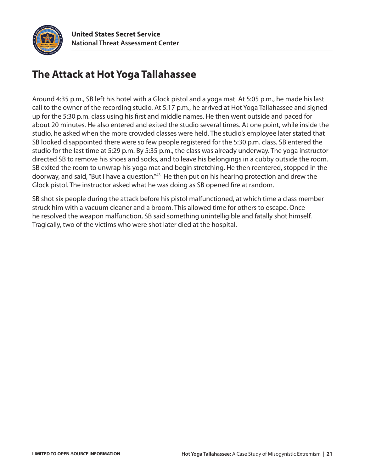

# **The Attack at Hot Yoga Tallahassee**

Around 4:35 p.m., SB left his hotel with a Glock pistol and a yoga mat. At 5:05 p.m., he made his last call to the owner of the recording studio. At 5:17 p.m., he arrived at Hot Yoga Tallahassee and signed up for the 5:30 p.m. class using his first and middle names. He then went outside and paced for about 20 minutes. He also entered and exited the studio several times. At one point, while inside the studio, he asked when the more crowded classes were held. The studio's employee later stated that SB looked disappointed there were so few people registered for the 5:30 p.m. class. SB entered the studio for the last time at 5:29 p.m. By 5:35 p.m., the class was already underway. The yoga instructor directed SB to remove his shoes and socks, and to leave his belongings in a cubby outside the room. SB exited the room to unwrap his yoga mat and begin stretching. He then reentered, stopped in the doorway, and said, "But I have a question."43 He then put on his hearing protection and drew the Glock pistol. The instructor asked what he was doing as SB opened fire at random.

SB shot six people during the attack before his pistol malfunctioned, at which time a class member struck him with a vacuum cleaner and a broom. This allowed time for others to escape. Once he resolved the weapon malfunction, SB said something unintelligible and fatally shot himself. Tragically, two of the victims who were shot later died at the hospital.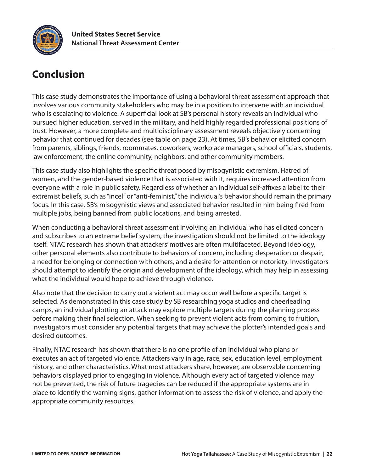

# **Conclusion**

This case study demonstrates the importance of using a behavioral threat assessment approach that involves various community stakeholders who may be in a position to intervene with an individual who is escalating to violence. A superficial look at SB's personal history reveals an individual who pursued higher education, served in the military, and held highly regarded professional positions of trust. However, a more complete and multidisciplinary assessment reveals objectively concerning behavior that continued for decades (see table on page 23). At times, SB's behavior elicited concern from parents, siblings, friends, roommates, coworkers, workplace managers, school officials, students, law enforcement, the online community, neighbors, and other community members.

This case study also highlights the specific threat posed by misogynistic extremism. Hatred of women, and the gender-based violence that is associated with it, requires increased attention from everyone with a role in public safety. Regardless of whether an individual self-affixes a label to their extremist beliefs, such as "incel" or "anti-feminist," the individual's behavior should remain the primary focus. In this case, SB's misogynistic views and associated behavior resulted in him being fired from multiple jobs, being banned from public locations, and being arrested.

When conducting a behavioral threat assessment involving an individual who has elicited concern and subscribes to an extreme belief system, the investigation should not be limited to the ideology itself. NTAC research has shown that attackers' motives are often multifaceted. Beyond ideology, other personal elements also contribute to behaviors of concern, including desperation or despair, a need for belonging or connection with others, and a desire for attention or notoriety. Investigators should attempt to identify the origin and development of the ideology, which may help in assessing what the individual would hope to achieve through violence.

Also note that the decision to carry out a violent act may occur well before a specific target is selected. As demonstrated in this case study by SB researching yoga studios and cheerleading camps, an individual plotting an attack may explore multiple targets during the planning process before making their final selection. When seeking to prevent violent acts from coming to fruition, investigators must consider any potential targets that may achieve the plotter's intended goals and desired outcomes.

Finally, NTAC research has shown that there is no one profile of an individual who plans or executes an act of targeted violence. Attackers vary in age, race, sex, education level, employment history, and other characteristics. What most attackers share, however, are observable concerning behaviors displayed prior to engaging in violence. Although every act of targeted violence may not be prevented, the risk of future tragedies can be reduced if the appropriate systems are in place to identify the warning signs, gather information to assess the risk of violence, and apply the appropriate community resources.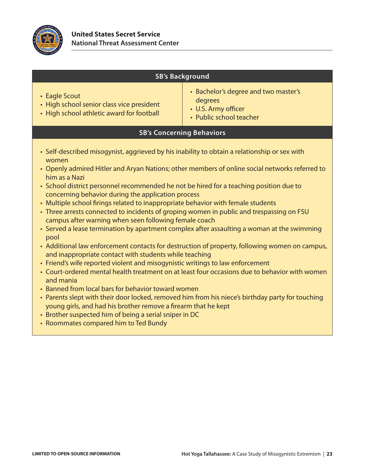

| <b>SB's Background</b>                                                                                  |                                                                                                   |  |  |
|---------------------------------------------------------------------------------------------------------|---------------------------------------------------------------------------------------------------|--|--|
| • Eagle Scout<br>• High school senior class vice president<br>• High school athletic award for football | • Bachelor's degree and two master's<br>degrees<br>• U.S. Army officer<br>• Public school teacher |  |  |
| <b>SB's Concerning Behaviors</b>                                                                        |                                                                                                   |  |  |
|                                                                                                         |                                                                                                   |  |  |

- Self-described misogynist, aggrieved by his inability to obtain a relationship or sex with women
- Openly admired Hitler and Aryan Nations; other members of online social networks referred to him as a Nazi
- School district personnel recommended he not be hired for a teaching position due to concerning behavior during the application process
- Multiple school firings related to inappropriate behavior with female students
- Three arrests connected to incidents of groping women in public and trespassing on FSU campus after warning when seen following female coach
- Served a lease termination by apartment complex after assaulting a woman at the swimming pool
- Additional law enforcement contacts for destruction of property, following women on campus, and inappropriate contact with students while teaching
- Friend's wife reported violent and misogynistic writings to law enforcement
- Court-ordered mental health treatment on at least four occasions due to behavior with women and mania
- Banned from local bars for behavior toward women
- Parents slept with their door locked, removed him from his niece's birthday party for touching young girls, and had his brother remove a firearm that he kept
- Brother suspected him of being a serial sniper in DC
- Roommates compared him to Ted Bundy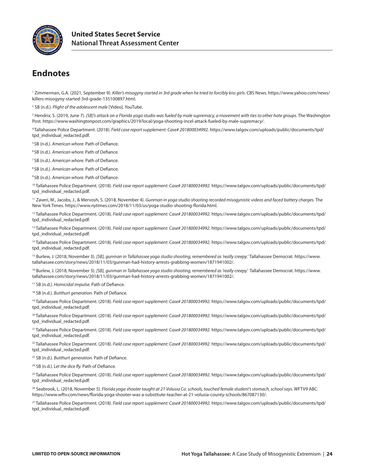

## **United States Secret Service National Threat Assessment Center**

# **Endnotes**

<sup>1</sup> Zimmerman, G.A. (2021, September 9). *Killer's misogyny started in 3rd grade when he tried to forcibly kiss girls*. CBS News. https://www.yahoo.com/news/ killers-misogyny-started-3rd-grade-135100897.html.

2 SB (n.d.). *Plight of the adolescent male* [Video]. YouTube.

<sup>3</sup> Hendrix, S. (2019, June 7). *[SB]'s attack on a Florida yoga studio was fueled by male supremacy, a movement with ties to other hate groups. The Washington* Post. https://www.washingtonpost.com/graphics/2019/local/yoga-shooting-incel-attack-fueled-by-male-supremacy/.

4 Tallahassee Police Department. (2018). *Field case report supplement: Case# 201800034992.* https://www.talgov.com/uploads/public/documents/tpd/ tpd\_individual\_redacted.pdf.

5 SB (n.d.). *American whore.* Path of Defiance.

6 SB (n.d.). *American whore.* Path of Defiance.

7 SB (n.d.). *American whore.* Path of Defiance.

8 SB (n.d.). *American whore.* Path of Defiance.

9 SB (n.d.). *American whore.* Path of Defiance.

10 Tallahassee Police Department. (2018). *Field case report supplement: Case# 201800034992.* https://www.talgov.com/uploads/public/documents/tpd/ tpd\_individual\_redacted.pdf.

11 Zaveri, M., Jacobs, J., & Mervosh, S. (2018, November 4). *Gunman in yoga studio shooting recorded misogynistic videos and faced battery charges.* The New York Times. https://www.nytimes.com/2018/11/03/us/yoga-studio-shooting-florida.html.

12 Tallahassee Police Department. (2018). *Field case report supplement: Case# 201800034992.* https://www.talgov.com/uploads/public/documents/tpd/ tpd\_individual\_redacted.pdf.

13 Tallahassee Police Department. (2018). *Field case report supplement: Case# 201800034992*. https://www.talgov.com/uploads/public/documents/tpd/ tpd\_individual\_redacted.pdf.

14 Tallahassee Police Department. (2018). *Field case report supplement: Case# 201800034992.* https://www.talgov.com/uploads/public/documents/tpd/ tpd\_individual\_redacted.pdf.

15 Burlew, J. (2018, November 3). *[SB], gunman in Tallahassee yoga studio shooting, remembered as 'really creepy.*' Tallahassee Democrat. https://www. tallahassee.com/story/news/2018/11/03/gunman-had-history-arrests-grabbing-women/1871941002/.

<sup>16</sup> Burlew, J. (2018, November 3). [SB], gunman in Tallahassee yoga studio shooting, remembered as 'really creepy.' Tallahassee Democrat. https://www. tallahassee.com/story/news/2018/11/03/gunman-had-history-arrests-grabbing-women/1871941002/.

17 SB (n.d.). *Homicidal impulse.* Path of Defiance.

18 SB (n.d.). *Butthurt generation.* Path of Defiance.

19 Tallahassee Police Department. (2018). *Field case report supplement: Case# 201800034992.* https://www.talgov.com/uploads/public/documents/tpd/ tpd\_individual\_redacted.pdf.

20 Tallahassee Police Department. (2018). *Field case report supplement: Case# 201800034992.* https://www.talgov.com/uploads/public/documents/tpd/ tpd\_individual\_redacted.pdf.

21 Tallahassee Police Department. (2018). *Field case report supplement: Case# 201800034992.* https://www.talgov.com/uploads/public/documents/tpd/ tpd\_individual\_redacted.pdf.

22 Tallahassee Police Department. (2018). *Field case report supplement: Case# 201800034992.* https://www.talgov.com/uploads/public/documents/tpd/ tpd\_individual\_redacted.pdf.

23 SB (n.d.). *Butthurt generation.* Path of Defiance.

24 SB (n.d.). *Let the dice fly.* Path of Defiance.

25 Tallahassee Police Department. (2018). *Field case report supplement: Case# 201800034992.* https://www.talgov.com/uploads/public/documents/tpd/ tpd\_individual\_redacted.pdf.

26 Seabrook, L. (2018, November 5). *Florida yoga shooter taught at 21 Volusia Co. schools, touched female student's stomach, school says.* WFTV9 ABC. https://www.wftv.com/news/florida-yoga-shooter-was-a-substitute-teacher-at-21-volusia-county-schools/867087130/.

27 Tallahassee Police Department. (2018). *Field case report supplement: Case# 201800034992.* https://www.talgov.com/uploads/public/documents/tpd/ tpd\_individual\_redacted.pdf.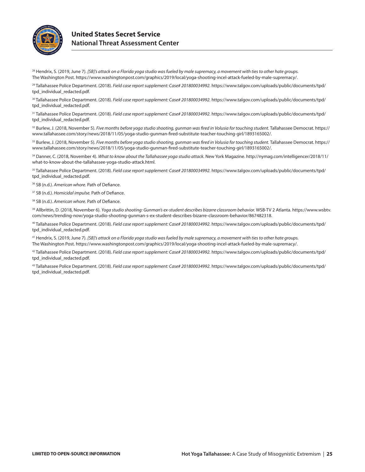

## **United States Secret Service National Threat Assessment Center**

28 Hendrix, S. (2019, June 7). *[SB]'s attack on a Florida yoga studio was fueled by male supremacy, a movement with ties to other hate groups.* The Washington Post. https://www.washingtonpost.com/graphics/2019/local/yoga-shooting-incel-attack-fueled-by-male-supremacy/.

29 Tallahassee Police Department. (2018). *Field case report supplement: Case# 201800034992.* https://www.talgov.com/uploads/public/documents/tpd/ tpd\_individual\_redacted.pdf.

30 Tallahassee Police Department. (2018). *Field case report supplement: Case# 201800034992.* https://www.talgov.com/uploads/public/documents/tpd/ tpd\_individual\_redacted.pdf.

31 Tallahassee Police Department. (2018). *Field case report supplement: Case# 201800034992.* https://www.talgov.com/uploads/public/documents/tpd/ tpd\_individual\_redacted.pdf.

<sup>32</sup> Burlew, J. (2018, November 5). Five months before yoga studio shooting, gunman was fired in Volusia for touching student. Tallahassee Democrat. https:// www.tallahassee.com/story/news/2018/11/05/yoga-studio-gunman-fired-substitute-teacher-touching-girl/1893165002/.

<sup>33</sup> Burlew, J. (2018, November 5). Five months before yoga studio shooting, gunman was fired in Volusia for touching student. Tallahassee Democrat. https:// www.tallahassee.com/story/news/2018/11/05/yoga-studio-gunman-fired-substitute-teacher-touching-girl/1893165002/.

34 Danner, C. (2018, November 4). *What to know about the Tallahassee yoga studio attack.* New York Magazine. http://nymag.com/intelligencer/2018/11/ what-to-know-about-the-tallahassee-yoga-studio-attack.html.

35 Tallahassee Police Department. (2018). *Field case report supplement: Case# 201800034992.* https://www.talgov.com/uploads/public/documents/tpd/ tpd\_individual\_redacted.pdf.

36 SB (n.d.). *American whore.* Path of Defiance.

37 SB (n.d.). *Homicidal impulse.* Path of Defiance.

38 SB (n.d.). *American whore.* Path of Defiance.

39 Allbrittin, D. (2018, November 6). *Yoga studio shooting: Gunman's ex-student describes bizarre classroom behavior.* WSB-TV 2 Atlanta. https://www.wsbtv. com/news/trending-now/yoga-studio-shooting-gunman-s-ex-student-describes-bizarre-classroom-behavior/867482318.

40 Tallahassee Police Department. (2018). *Field case report supplement: Case# 201800034992.* https://www.talgov.com/uploads/public/documents/tpd/ tpd\_individual\_redacted.pdf.

41 Hendrix, S. (2019, June 7). *[SB]'s attack on a Florida yoga studio was fueled by male supremacy, a movement with ties to other hate groups.* The Washington Post. https://www.washingtonpost.com/graphics/2019/local/yoga-shooting-incel-attack-fueled-by-male-supremacy/.

42 Tallahassee Police Department. (2018). *Field case report supplement: Case# 201800034992.* https://www.talgov.com/uploads/public/documents/tpd/ tpd\_individual\_redacted.pdf.

43 Tallahassee Police Department. (2018). *Field case report supplement: Case# 201800034992.* https://www.talgov.com/uploads/public/documents/tpd/ tpd\_individual\_redacted.pdf.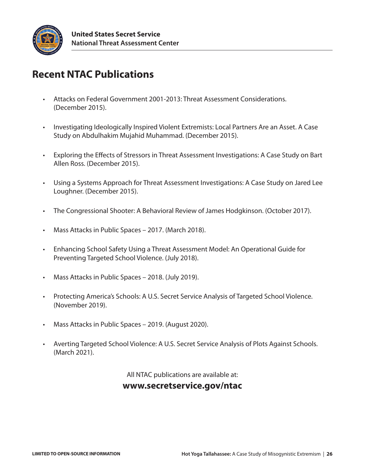

# **Recent NTAC Publications**

- Attacks on Federal Government 2001-2013: Threat Assessment Considerations. (December 2015).
- Investigating Ideologically Inspired Violent Extremists: Local Partners Are an Asset. A Case Study on Abdulhakim Mujahid Muhammad. (December 2015).
- Exploring the Effects of Stressors in Threat Assessment Investigations: A Case Study on Bart Allen Ross. (December 2015).
- Using a Systems Approach for Threat Assessment Investigations: A Case Study on Jared Lee Loughner. (December 2015).
- The Congressional Shooter: A Behavioral Review of James Hodgkinson. (October 2017).
- Mass Attacks in Public Spaces 2017. (March 2018).
- Enhancing School Safety Using a Threat Assessment Model: An Operational Guide for Preventing Targeted School Violence. (July 2018).
- Mass Attacks in Public Spaces 2018. (July 2019).
- Protecting America's Schools: A U.S. Secret Service Analysis of Targeted School Violence. (November 2019).
- Mass Attacks in Public Spaces 2019. (August 2020).
- Averting Targeted School Violence: A U.S. Secret Service Analysis of Plots Against Schools. (March 2021).

All NTAC publications are available at:

# **www.secretservice.gov/ntac**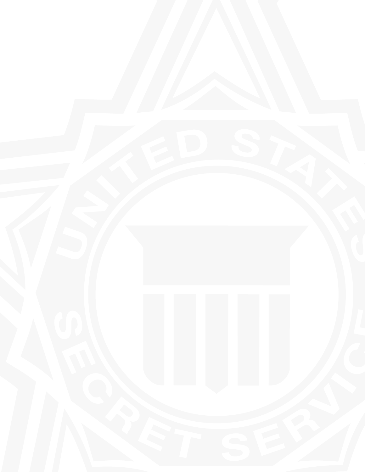